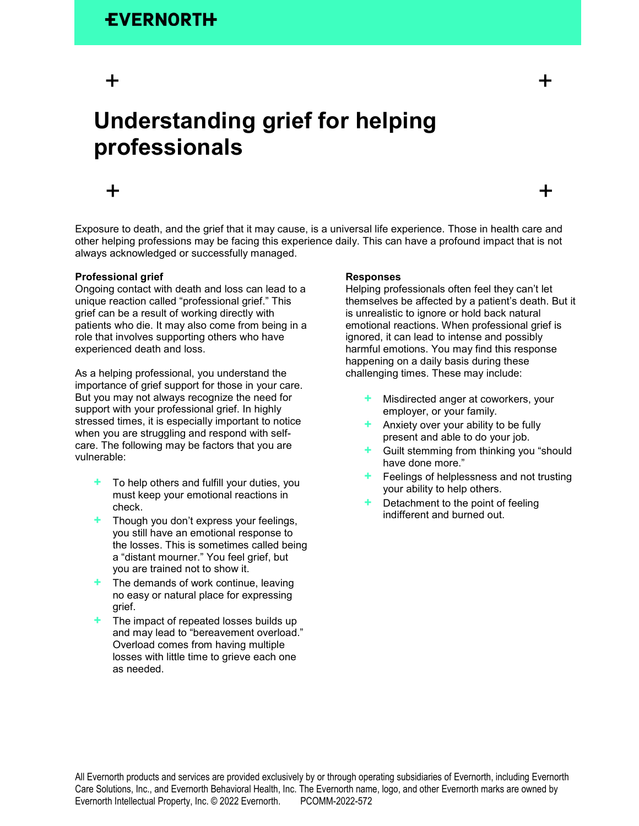# $+$   $+$

# **Understanding grief for helping professionals**

# $+$   $+$

Exposure to death, and the grief that it may cause, is a universal life experience. Those in health care and other helping professions may be facing this experience daily. This can have a profound impact that is not always acknowledged or successfully managed.

## **Professional grief**

Ongoing contact with death and loss can lead to a unique reaction called "professional grief." This grief can be a result of working directly with patients who die. It may also come from being in a role that involves supporting others who have experienced death and loss.

As a helping professional, you understand the importance of grief support for those in your care. But you may not always recognize the need for support with your professional grief. In highly stressed times, it is especially important to notice when you are struggling and respond with selfcare. The following may be factors that you are vulnerable:

- **+** To help others and fulfill your duties, you must keep your emotional reactions in check.
- **+** Though you don't express your feelings, you still have an emotional response to the losses. This is sometimes called being a "distant mourner." You feel grief, but you are trained not to show it.
- **+** The demands of work continue, leaving no easy or natural place for expressing grief.
- **+** The impact of repeated losses builds up and may lead to "bereavement overload." Overload comes from having multiple losses with little time to grieve each one as needed.

### **Responses**

Helping professionals often feel they can't let themselves be affected by a patient's death. But it is unrealistic to ignore or hold back natural emotional reactions. When professional grief is ignored, it can lead to intense and possibly harmful emotions. You may find this response happening on a daily basis during these challenging times. These may include:

- **+** Misdirected anger at coworkers, your employer, or your family.
- **+** Anxiety over your ability to be fully present and able to do your job.
- **+** Guilt stemming from thinking you "should have done more."
- **+** Feelings of helplessness and not trusting your ability to help others.
- **+** Detachment to the point of feeling indifferent and burned out.

All Evernorth products and services are provided exclusively by or through operating subsidiaries of Evernorth, including Evernorth Care Solutions, Inc., and Evernorth Behavioral Health, Inc. The Evernorth name, logo, and other Evernorth marks are owned by Evernorth Intellectual Property, Inc. © 2022 Evernorth. PCOMM-2022-572